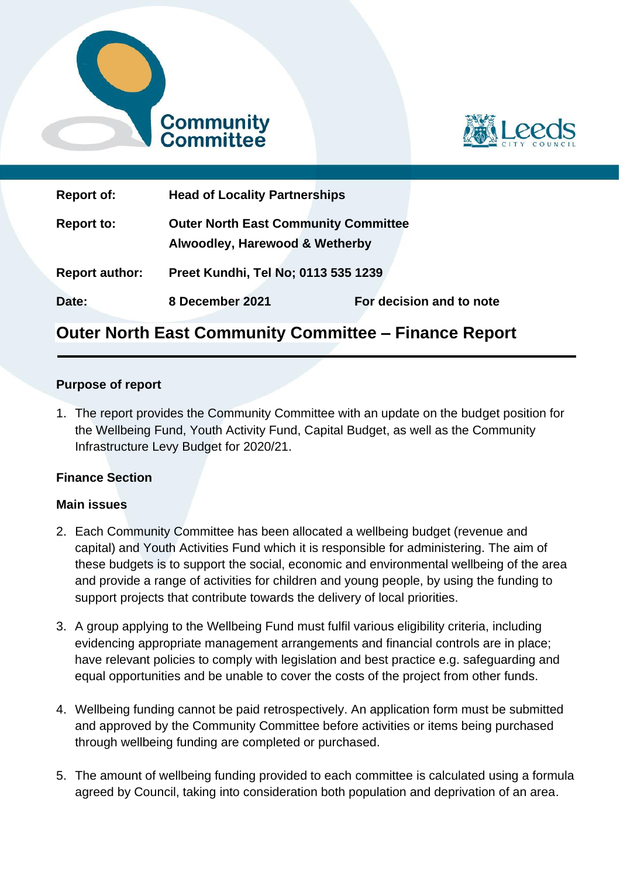



| <b>Report of:</b>     | <b>Head of Locality Partnerships</b>                                          |                          |
|-----------------------|-------------------------------------------------------------------------------|--------------------------|
| <b>Report to:</b>     | <b>Outer North East Community Committee</b><br>Alwoodley, Harewood & Wetherby |                          |
| <b>Report author:</b> | Preet Kundhi, Tel No; 0113 535 1239                                           |                          |
| Date:                 | 8 December 2021                                                               | For decision and to note |

# **Outer North East Community Committee – Finance Report**

#### **Purpose of report**

1. The report provides the Community Committee with an update on the budget position for the Wellbeing Fund, Youth Activity Fund, Capital Budget, as well as the Community Infrastructure Levy Budget for 2020/21.

#### **Finance Section**

#### **Main issues**

- 2. Each Community Committee has been allocated a wellbeing budget (revenue and capital) and Youth Activities Fund which it is responsible for administering. The aim of these budgets is to support the social, economic and environmental wellbeing of the area and provide a range of activities for children and young people, by using the funding to support projects that contribute towards the delivery of local priorities.
- 3. A group applying to the Wellbeing Fund must fulfil various eligibility criteria, including evidencing appropriate management arrangements and financial controls are in place; have relevant policies to comply with legislation and best practice e.g. safeguarding and equal opportunities and be unable to cover the costs of the project from other funds.
- 4. Wellbeing funding cannot be paid retrospectively. An application form must be submitted and approved by the Community Committee before activities or items being purchased through wellbeing funding are completed or purchased.
- 5. The amount of wellbeing funding provided to each committee is calculated using a formula agreed by Council, taking into consideration both population and deprivation of an area.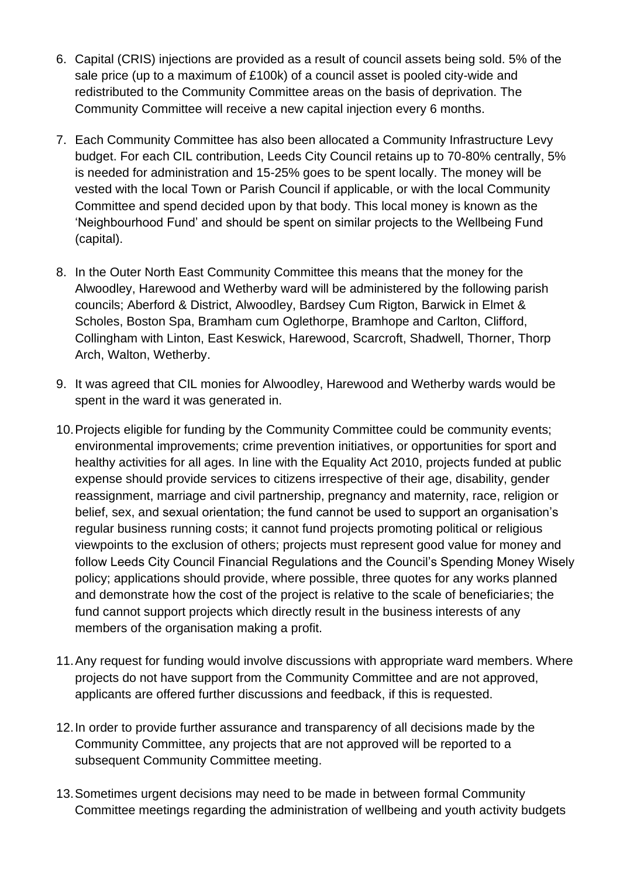- 6. Capital (CRIS) injections are provided as a result of council assets being sold. 5% of the sale price (up to a maximum of £100k) of a council asset is pooled city-wide and redistributed to the Community Committee areas on the basis of deprivation. The Community Committee will receive a new capital injection every 6 months.
- 7. Each Community Committee has also been allocated a Community Infrastructure Levy budget. For each CIL contribution, Leeds City Council retains up to 70-80% centrally, 5% is needed for administration and 15-25% goes to be spent locally. The money will be vested with the local Town or Parish Council if applicable, or with the local Community Committee and spend decided upon by that body. This local money is known as the 'Neighbourhood Fund' and should be spent on similar projects to the Wellbeing Fund (capital).
- 8. In the Outer North East Community Committee this means that the money for the Alwoodley, Harewood and Wetherby ward will be administered by the following parish councils; Aberford & District, Alwoodley, Bardsey Cum Rigton, Barwick in Elmet & Scholes, Boston Spa, Bramham cum Oglethorpe, Bramhope and Carlton, Clifford, Collingham with Linton, East Keswick, Harewood, Scarcroft, Shadwell, Thorner, Thorp Arch, Walton, Wetherby.
- 9. It was agreed that CIL monies for Alwoodley, Harewood and Wetherby wards would be spent in the ward it was generated in.
- 10.Projects eligible for funding by the Community Committee could be community events; environmental improvements; crime prevention initiatives, or opportunities for sport and healthy activities for all ages. In line with the Equality Act 2010, projects funded at public expense should provide services to citizens irrespective of their age, disability, gender reassignment, marriage and civil partnership, pregnancy and maternity, race, religion or belief, sex, and sexual orientation; the fund cannot be used to support an organisation's regular business running costs; it cannot fund projects promoting political or religious viewpoints to the exclusion of others; projects must represent good value for money and follow Leeds City Council Financial Regulations and the Council's Spending Money Wisely policy; applications should provide, where possible, three quotes for any works planned and demonstrate how the cost of the project is relative to the scale of beneficiaries; the fund cannot support projects which directly result in the business interests of any members of the organisation making a profit.
- 11.Any request for funding would involve discussions with appropriate ward members. Where projects do not have support from the Community Committee and are not approved, applicants are offered further discussions and feedback, if this is requested.
- 12.In order to provide further assurance and transparency of all decisions made by the Community Committee, any projects that are not approved will be reported to a subsequent Community Committee meeting.
- 13.Sometimes urgent decisions may need to be made in between formal Community Committee meetings regarding the administration of wellbeing and youth activity budgets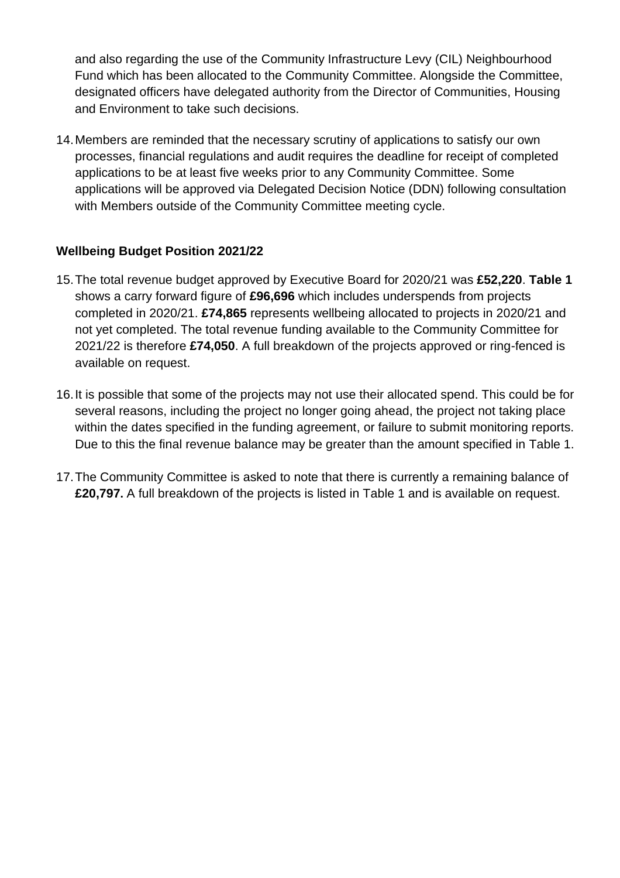and also regarding the use of the Community Infrastructure Levy (CIL) Neighbourhood Fund which has been allocated to the Community Committee. Alongside the Committee, designated officers have delegated authority from the Director of Communities, Housing and Environment to take such decisions.

14.Members are reminded that the necessary scrutiny of applications to satisfy our own processes, financial regulations and audit requires the deadline for receipt of completed applications to be at least five weeks prior to any Community Committee. Some applications will be approved via Delegated Decision Notice (DDN) following consultation with Members outside of the Community Committee meeting cycle.

# **Wellbeing Budget Position 2021/22**

- 15.The total revenue budget approved by Executive Board for 2020/21 was **£52,220**. **Table 1** shows a carry forward figure of **£96,696** which includes underspends from projects completed in 2020/21. **£74,865** represents wellbeing allocated to projects in 2020/21 and not yet completed. The total revenue funding available to the Community Committee for 2021/22 is therefore **£74,050**. A full breakdown of the projects approved or ring-fenced is available on request.
- 16.It is possible that some of the projects may not use their allocated spend. This could be for several reasons, including the project no longer going ahead, the project not taking place within the dates specified in the funding agreement, or failure to submit monitoring reports. Due to this the final revenue balance may be greater than the amount specified in Table 1.
- 17.The Community Committee is asked to note that there is currently a remaining balance of **£20,797.** A full breakdown of the projects is listed in Table 1 and is available on request.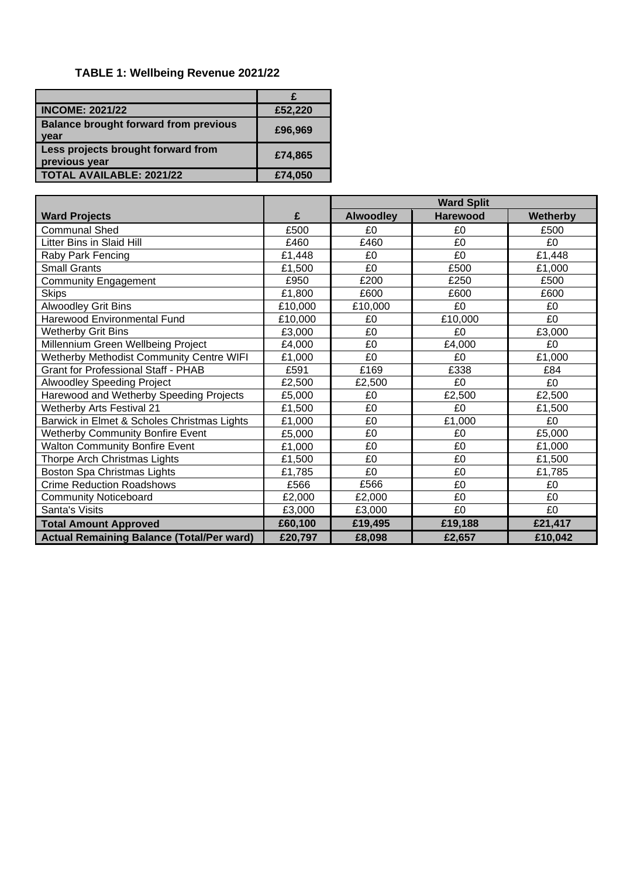# **TABLE 1: Wellbeing Revenue 2021/22**

| <b>INCOME: 2021/22</b>                               | £52,220 |
|------------------------------------------------------|---------|
| <b>Balance brought forward from previous</b><br>year | £96,969 |
| Less projects brought forward from<br>previous year  | £74,865 |
| <b>TOTAL AVAILABLE: 2021/22</b>                      | £74,050 |

|                                                  |         | <b>Ward Split</b> |                 |                 |
|--------------------------------------------------|---------|-------------------|-----------------|-----------------|
| <b>Ward Projects</b>                             | £       | <b>Alwoodley</b>  | <b>Harewood</b> | <b>Wetherby</b> |
| <b>Communal Shed</b>                             | £500    | £0                | £0              | £500            |
| Litter Bins in Slaid Hill                        | £460    | £460              | £0              | £0              |
| Raby Park Fencing                                | £1,448  | £0                | £0              | £1,448          |
| <b>Small Grants</b>                              | £1,500  | £0                | £500            | £1,000          |
| <b>Community Engagement</b>                      | £950    | £200              | £250            | £500            |
| <b>Skips</b>                                     | £1,800  | £600              | £600            | £600            |
| <b>Alwoodley Grit Bins</b>                       | £10,000 | £10,000           | £0              | £0              |
| Harewood Environmental Fund                      | £10,000 | £0                | £10,000         | £0              |
| <b>Wetherby Grit Bins</b>                        | £3,000  | £0                | £0              | £3,000          |
| Millennium Green Wellbeing Project               | £4,000  | £0                | £4,000          | £0              |
| Wetherby Methodist Community Centre WIFI         | £1,000  | £0                | £0              | £1,000          |
| <b>Grant for Professional Staff - PHAB</b>       | £591    | £169              | £338            | £84             |
| Alwoodley Speeding Project                       | £2,500  | £2,500            | £0              | £0              |
| Harewood and Wetherby Speeding Projects          | £5,000  | £0                | £2,500          | £2,500          |
| <b>Wetherby Arts Festival 21</b>                 | £1,500  | £0                | £0              | £1,500          |
| Barwick in Elmet & Scholes Christmas Lights      | £1,000  | £0                | £1,000          | £0              |
| <b>Wetherby Community Bonfire Event</b>          | £5,000  | £0                | £0              | £5,000          |
| <b>Walton Community Bonfire Event</b>            | £1,000  | £0                | £0              | £1,000          |
| Thorpe Arch Christmas Lights                     | £1,500  | £0                | £0              | £1,500          |
| Boston Spa Christmas Lights                      | £1,785  | £0                | £0              | £1,785          |
| <b>Crime Reduction Roadshows</b>                 | £566    | £566              | £0              | £0              |
| <b>Community Noticeboard</b>                     | £2,000  | £2,000            | £0              | £0              |
| Santa's Visits                                   | £3,000  | £3,000            | £0              | £0              |
| <b>Total Amount Approved</b>                     | £60,100 | £19,495           | £19,188         | £21,417         |
| <b>Actual Remaining Balance (Total/Per ward)</b> | £20,797 | £8,098            | £2,657          | £10,042         |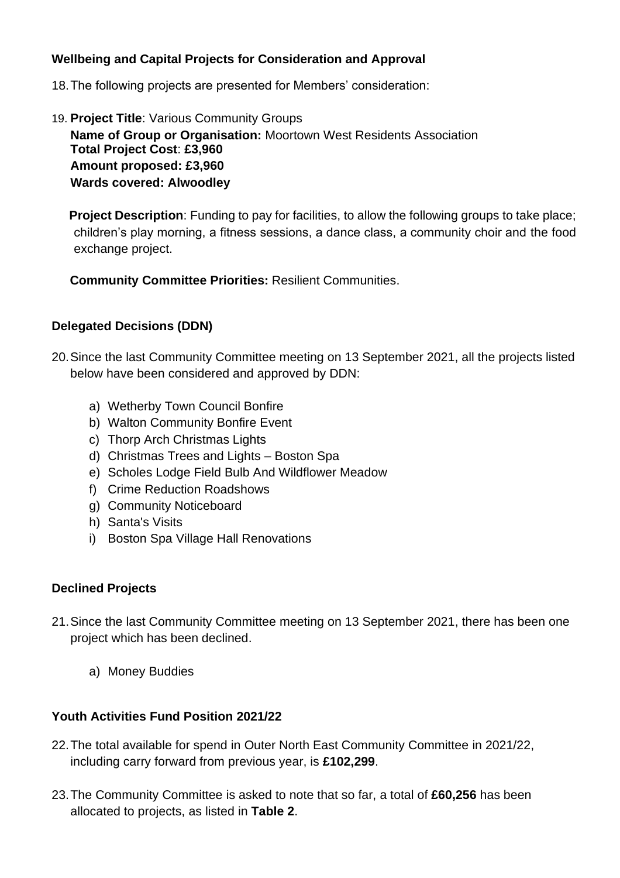## **Wellbeing and Capital Projects for Consideration and Approval**

- 18.The following projects are presented for Members' consideration:
- 19. **Project Title**: Various Community Groups **Name of Group or Organisation:** Moortown West Residents Association **Total Project Cost**: **£3,960 Amount proposed: £3,960 Wards covered: Alwoodley**

**Project Description**: Funding to pay for facilities, to allow the following groups to take place; children's play morning, a fitness sessions, a dance class, a community choir and the food exchange project.

**Community Committee Priorities:** Resilient Communities.

#### **Delegated Decisions (DDN)**

- 20.Since the last Community Committee meeting on 13 September 2021, all the projects listed below have been considered and approved by DDN:
	- a) Wetherby Town Council Bonfire
	- b) Walton Community Bonfire Event
	- c) Thorp Arch Christmas Lights
	- d) Christmas Trees and Lights Boston Spa
	- e) Scholes Lodge Field Bulb And Wildflower Meadow
	- f) Crime Reduction Roadshows
	- g) Community Noticeboard
	- h) Santa's Visits
	- i) Boston Spa Village Hall Renovations

#### **Declined Projects**

- 21.Since the last Community Committee meeting on 13 September 2021, there has been one project which has been declined.
	- a) Money Buddies

#### **Youth Activities Fund Position 2021/22**

- 22.The total available for spend in Outer North East Community Committee in 2021/22, including carry forward from previous year, is **£102,299**.
- 23.The Community Committee is asked to note that so far, a total of **£60,256** has been allocated to projects, as listed in **Table 2**.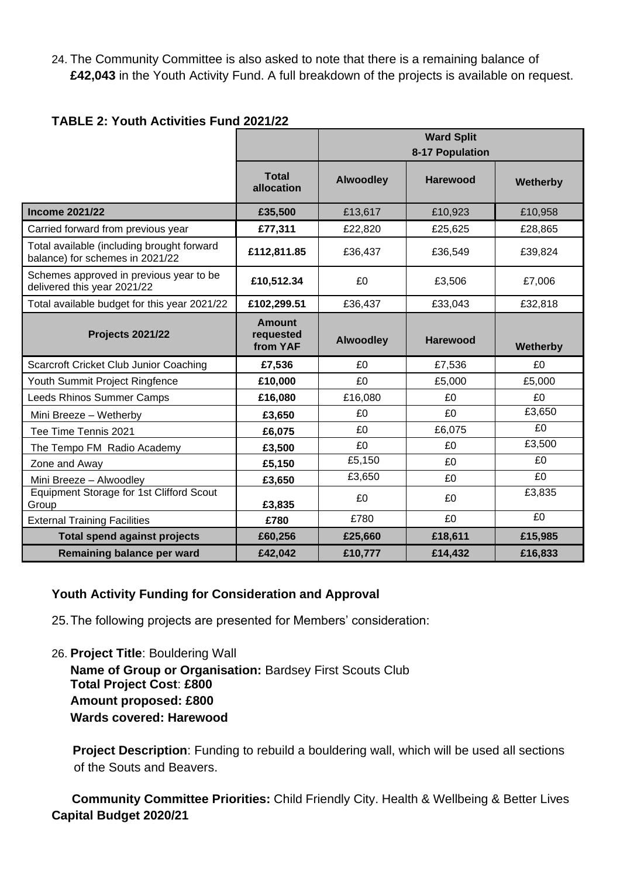24. The Community Committee is also asked to note that there is a remaining balance of **£42,043** in the Youth Activity Fund. A full breakdown of the projects is available on request.

| <b>TABLE 2: Youth Activities Fund 2021/22</b> |  |
|-----------------------------------------------|--|
|-----------------------------------------------|--|

|                                                                               |                                        | <b>Ward Split</b><br>8-17 Population |                 |          |
|-------------------------------------------------------------------------------|----------------------------------------|--------------------------------------|-----------------|----------|
|                                                                               | <b>Total</b><br>allocation             | <b>Alwoodley</b>                     | Harewood        | Wetherby |
| <b>Income 2021/22</b>                                                         | £35,500                                | £13,617                              | £10,923         | £10,958  |
| Carried forward from previous year                                            | £77,311                                | £22,820                              | £25,625         | £28,865  |
| Total available (including brought forward<br>balance) for schemes in 2021/22 | £112,811.85                            | £36,437                              | £36,549         | £39,824  |
| Schemes approved in previous year to be<br>delivered this year 2021/22        | £10,512.34                             | £0                                   | £3,506          | £7,006   |
| Total available budget for this year 2021/22                                  | £102,299.51                            | £36,437                              | £33,043         | £32,818  |
| <b>Projects 2021/22</b>                                                       | <b>Amount</b><br>requested<br>from YAF | <b>Alwoodley</b>                     | <b>Harewood</b> | Wetherby |
| <b>Scarcroft Cricket Club Junior Coaching</b>                                 | £7,536                                 | £0                                   | £7,536          | £0       |
| Youth Summit Project Ringfence                                                | £10,000                                | £0                                   | £5,000          | £5,000   |
| Leeds Rhinos Summer Camps                                                     | £16,080                                | £16,080                              | £0              | £0       |
| Mini Breeze - Wetherby                                                        | £3,650                                 | £0                                   | £0              | £3,650   |
| Tee Time Tennis 2021                                                          | £6,075                                 | £0                                   | £6,075          | £0       |
| The Tempo FM Radio Academy                                                    | £3,500                                 | £0                                   | £0              | £3,500   |
| Zone and Away                                                                 | £5,150                                 | £5,150                               | £0              | £0       |
| Mini Breeze - Alwoodley                                                       | £3,650                                 | £3,650                               | £0              | £0       |
| Equipment Storage for 1st Clifford Scout<br>Group                             | £3,835                                 | £0                                   | £0              | £3,835   |
| <b>External Training Facilities</b>                                           | £780                                   | £780                                 | £0              | £0       |
| <b>Total spend against projects</b>                                           | £60,256                                | £25,660                              | £18,611         | £15,985  |
| Remaining balance per ward                                                    | £42,042                                | £10,777                              | £14,432         | £16,833  |

#### **Youth Activity Funding for Consideration and Approval**

25.The following projects are presented for Members' consideration:

26. **Project Title**: Bouldering Wall

**Name of Group or Organisation:** Bardsey First Scouts Club **Total Project Cost**: **£800 Amount proposed: £800 Wards covered: Harewood** 

**Project Description**: Funding to rebuild a bouldering wall, which will be used all sections of the Souts and Beavers.

 **Community Committee Priorities:** Child Friendly City. Health & Wellbeing & Better Lives **Capital Budget 2020/21**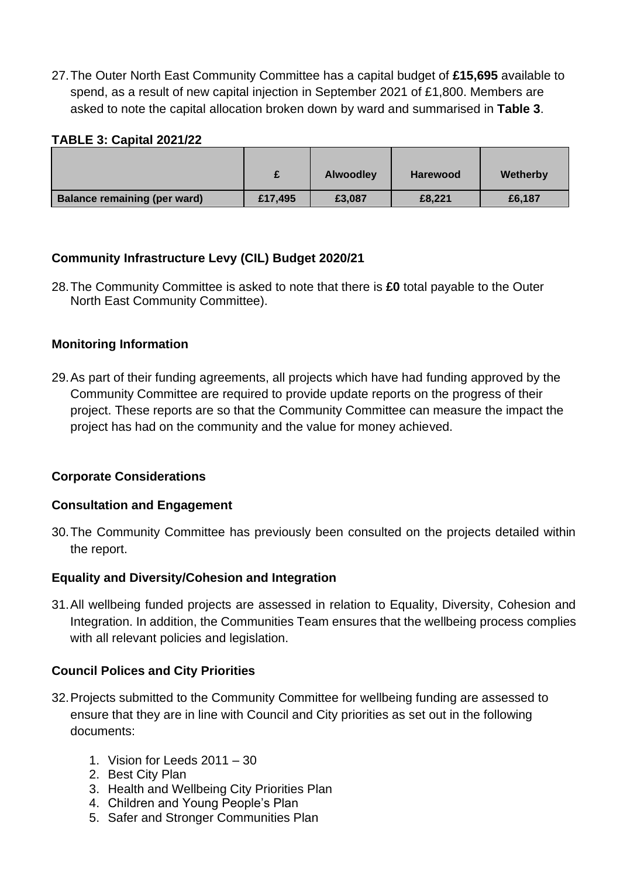27.The Outer North East Community Committee has a capital budget of **£15,695** available to spend, as a result of new capital injection in September 2021 of £1,800. Members are asked to note the capital allocation broken down by ward and summarised in **Table 3**.

#### **TABLE 3: Capital 2021/22**

|                                     |         | <b>Alwoodley</b> | <b>Harewood</b> | Wetherby |
|-------------------------------------|---------|------------------|-----------------|----------|
| <b>Balance remaining (per ward)</b> | £17,495 | £3,087           | £8,221          | £6,187   |

#### **Community Infrastructure Levy (CIL) Budget 2020/21**

28.The Community Committee is asked to note that there is **£0** total payable to the Outer North East Community Committee).

#### **Monitoring Information**

29.As part of their funding agreements, all projects which have had funding approved by the Community Committee are required to provide update reports on the progress of their project. These reports are so that the Community Committee can measure the impact the project has had on the community and the value for money achieved.

#### **Corporate Considerations**

#### **Consultation and Engagement**

30.The Community Committee has previously been consulted on the projects detailed within the report.

#### **Equality and Diversity/Cohesion and Integration**

31.All wellbeing funded projects are assessed in relation to Equality, Diversity, Cohesion and Integration. In addition, the Communities Team ensures that the wellbeing process complies with all relevant policies and legislation.

# **Council Polices and City Priorities**

- 32.Projects submitted to the Community Committee for wellbeing funding are assessed to ensure that they are in line with Council and City priorities as set out in the following documents:
	- 1. Vision for Leeds 2011 30
	- 2. Best City Plan
	- 3. Health and Wellbeing City Priorities Plan
	- 4. Children and Young People's Plan
	- 5. Safer and Stronger Communities Plan